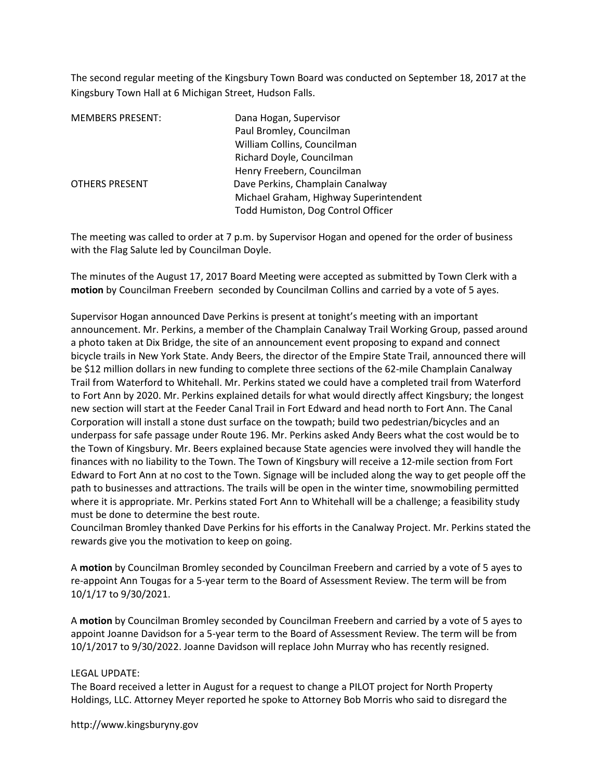The second regular meeting of the Kingsbury Town Board was conducted on September 18, 2017 at the Kingsbury Town Hall at 6 Michigan Street, Hudson Falls.

| <b>MEMBERS PRESENT:</b> | Dana Hogan, Supervisor                 |
|-------------------------|----------------------------------------|
|                         | Paul Bromley, Councilman               |
|                         | William Collins, Councilman            |
|                         | Richard Doyle, Councilman              |
|                         | Henry Freebern, Councilman             |
| <b>OTHERS PRESENT</b>   | Dave Perkins, Champlain Canalway       |
|                         | Michael Graham, Highway Superintendent |
|                         | Todd Humiston, Dog Control Officer     |

The meeting was called to order at 7 p.m. by Supervisor Hogan and opened for the order of business with the Flag Salute led by Councilman Doyle.

The minutes of the August 17, 2017 Board Meeting were accepted as submitted by Town Clerk with a motion by Councilman Freebern seconded by Councilman Collins and carried by a vote of 5 ayes.

Supervisor Hogan announced Dave Perkins is present at tonight's meeting with an important announcement. Mr. Perkins, a member of the Champlain Canalway Trail Working Group, passed around a photo taken at Dix Bridge, the site of an announcement event proposing to expand and connect bicycle trails in New York State. Andy Beers, the director of the Empire State Trail, announced there will be \$12 million dollars in new funding to complete three sections of the 62-mile Champlain Canalway Trail from Waterford to Whitehall. Mr. Perkins stated we could have a completed trail from Waterford to Fort Ann by 2020. Mr. Perkins explained details for what would directly affect Kingsbury; the longest new section will start at the Feeder Canal Trail in Fort Edward and head north to Fort Ann. The Canal Corporation will install a stone dust surface on the towpath; build two pedestrian/bicycles and an underpass for safe passage under Route 196. Mr. Perkins asked Andy Beers what the cost would be to the Town of Kingsbury. Mr. Beers explained because State agencies were involved they will handle the finances with no liability to the Town. The Town of Kingsbury will receive a 12-mile section from Fort Edward to Fort Ann at no cost to the Town. Signage will be included along the way to get people off the path to businesses and attractions. The trails will be open in the winter time, snowmobiling permitted where it is appropriate. Mr. Perkins stated Fort Ann to Whitehall will be a challenge; a feasibility study must be done to determine the best route.

Councilman Bromley thanked Dave Perkins for his efforts in the Canalway Project. Mr. Perkins stated the rewards give you the motivation to keep on going.

A motion by Councilman Bromley seconded by Councilman Freebern and carried by a vote of 5 ayes to re-appoint Ann Tougas for a 5-year term to the Board of Assessment Review. The term will be from 10/1/17 to 9/30/2021.

A motion by Councilman Bromley seconded by Councilman Freebern and carried by a vote of 5 ayes to appoint Joanne Davidson for a 5-year term to the Board of Assessment Review. The term will be from 10/1/2017 to 9/30/2022. Joanne Davidson will replace John Murray who has recently resigned.

#### LEGAL UPDATE:

The Board received a letter in August for a request to change a PILOT project for North Property Holdings, LLC. Attorney Meyer reported he spoke to Attorney Bob Morris who said to disregard the

http://www.kingsburyny.gov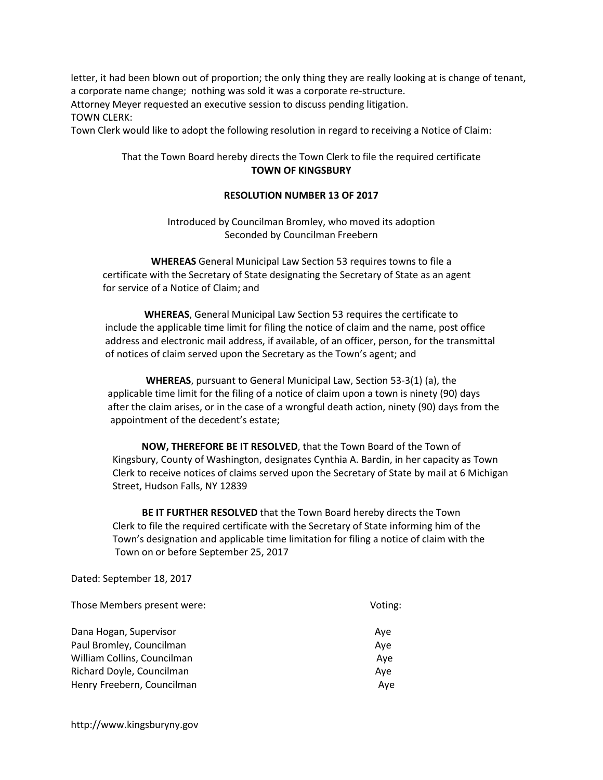letter, it had been blown out of proportion; the only thing they are really looking at is change of tenant, a corporate name change; nothing was sold it was a corporate re-structure. Attorney Meyer requested an executive session to discuss pending litigation. TOWN CLERK:

Town Clerk would like to adopt the following resolution in regard to receiving a Notice of Claim:

# That the Town Board hereby directs the Town Clerk to file the required certificate TOWN OF KINGSBURY

## RESOLUTION NUMBER 13 OF 2017

Introduced by Councilman Bromley, who moved its adoption Seconded by Councilman Freebern

WHEREAS General Municipal Law Section 53 requires towns to file a certificate with the Secretary of State designating the Secretary of State as an agent for service of a Notice of Claim; and

WHEREAS, General Municipal Law Section 53 requires the certificate to include the applicable time limit for filing the notice of claim and the name, post office address and electronic mail address, if available, of an officer, person, for the transmittal of notices of claim served upon the Secretary as the Town's agent; and

WHEREAS, pursuant to General Municipal Law, Section 53-3(1) (a), the applicable time limit for the filing of a notice of claim upon a town is ninety (90) days after the claim arises, or in the case of a wrongful death action, ninety (90) days from the appointment of the decedent's estate;

NOW, THEREFORE BE IT RESOLVED, that the Town Board of the Town of Kingsbury, County of Washington, designates Cynthia A. Bardin, in her capacity as Town Clerk to receive notices of claims served upon the Secretary of State by mail at 6 Michigan Street, Hudson Falls, NY 12839

BE IT FURTHER RESOLVED that the Town Board hereby directs the Town Clerk to file the required certificate with the Secretary of State informing him of the Town's designation and applicable time limitation for filing a notice of claim with the Town on or before September 25, 2017

#### Dated: September 18, 2017

| Those Members present were: | Voting: |
|-----------------------------|---------|
| Dana Hogan, Supervisor      | Ave     |
| Paul Bromley, Councilman    | Ave     |
| William Collins, Councilman | Aye     |
| Richard Doyle, Councilman   | Aye     |
| Henry Freebern, Councilman  | Ave     |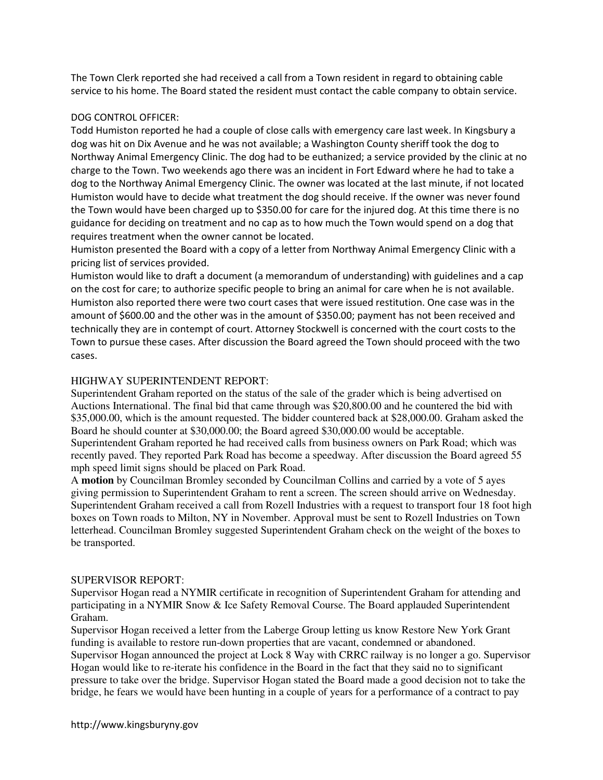The Town Clerk reported she had received a call from a Town resident in regard to obtaining cable service to his home. The Board stated the resident must contact the cable company to obtain service.

### DOG CONTROL OFFICER:

Todd Humiston reported he had a couple of close calls with emergency care last week. In Kingsbury a dog was hit on Dix Avenue and he was not available; a Washington County sheriff took the dog to Northway Animal Emergency Clinic. The dog had to be euthanized; a service provided by the clinic at no charge to the Town. Two weekends ago there was an incident in Fort Edward where he had to take a dog to the Northway Animal Emergency Clinic. The owner was located at the last minute, if not located Humiston would have to decide what treatment the dog should receive. If the owner was never found the Town would have been charged up to \$350.00 for care for the injured dog. At this time there is no guidance for deciding on treatment and no cap as to how much the Town would spend on a dog that requires treatment when the owner cannot be located.

Humiston presented the Board with a copy of a letter from Northway Animal Emergency Clinic with a pricing list of services provided.

Humiston would like to draft a document (a memorandum of understanding) with guidelines and a cap on the cost for care; to authorize specific people to bring an animal for care when he is not available. Humiston also reported there were two court cases that were issued restitution. One case was in the amount of \$600.00 and the other was in the amount of \$350.00; payment has not been received and technically they are in contempt of court. Attorney Stockwell is concerned with the court costs to the Town to pursue these cases. After discussion the Board agreed the Town should proceed with the two cases.

## HIGHWAY SUPERINTENDENT REPORT:

Superintendent Graham reported on the status of the sale of the grader which is being advertised on Auctions International. The final bid that came through was \$20,800.00 and he countered the bid with \$35,000.00, which is the amount requested. The bidder countered back at \$28,000.00. Graham asked the Board he should counter at \$30,000.00; the Board agreed \$30,000.00 would be acceptable.

Superintendent Graham reported he had received calls from business owners on Park Road; which was recently paved. They reported Park Road has become a speedway. After discussion the Board agreed 55 mph speed limit signs should be placed on Park Road.

A **motion** by Councilman Bromley seconded by Councilman Collins and carried by a vote of 5 ayes giving permission to Superintendent Graham to rent a screen. The screen should arrive on Wednesday. Superintendent Graham received a call from Rozell Industries with a request to transport four 18 foot high boxes on Town roads to Milton, NY in November. Approval must be sent to Rozell Industries on Town letterhead. Councilman Bromley suggested Superintendent Graham check on the weight of the boxes to be transported.

#### SUPERVISOR REPORT:

Supervisor Hogan read a NYMIR certificate in recognition of Superintendent Graham for attending and participating in a NYMIR Snow & Ice Safety Removal Course. The Board applauded Superintendent Graham.

Supervisor Hogan received a letter from the Laberge Group letting us know Restore New York Grant funding is available to restore run-down properties that are vacant, condemned or abandoned. Supervisor Hogan announced the project at Lock 8 Way with CRRC railway is no longer a go. Supervisor Hogan would like to re-iterate his confidence in the Board in the fact that they said no to significant pressure to take over the bridge. Supervisor Hogan stated the Board made a good decision not to take the bridge, he fears we would have been hunting in a couple of years for a performance of a contract to pay